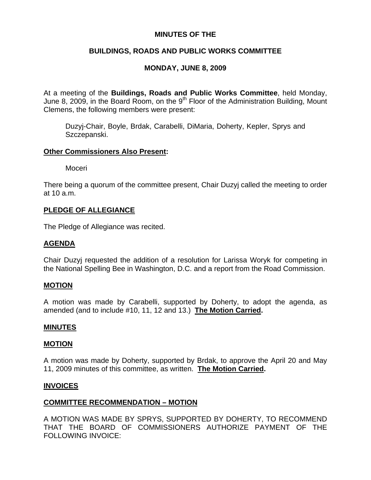## **MINUTES OF THE**

# **BUILDINGS, ROADS AND PUBLIC WORKS COMMITTEE**

# **MONDAY, JUNE 8, 2009**

At a meeting of the **Buildings, Roads and Public Works Committee**, held Monday, June 8, 2009, in the Board Room, on the 9<sup>th</sup> Floor of the Administration Building, Mount Clemens, the following members were present:

Duzyj-Chair, Boyle, Brdak, Carabelli, DiMaria, Doherty, Kepler, Sprys and Szczepanski.

### **Other Commissioners Also Present:**

Moceri

There being a quorum of the committee present, Chair Duzyj called the meeting to order at 10 a.m.

## **PLEDGE OF ALLEGIANCE**

The Pledge of Allegiance was recited.

## **AGENDA**

Chair Duzyj requested the addition of a resolution for Larissa Woryk for competing in the National Spelling Bee in Washington, D.C. and a report from the Road Commission.

### **MOTION**

A motion was made by Carabelli, supported by Doherty, to adopt the agenda, as amended (and to include #10, 11, 12 and 13.) **The Motion Carried.** 

### **MINUTES**

### **MOTION**

A motion was made by Doherty, supported by Brdak, to approve the April 20 and May 11, 2009 minutes of this committee, as written. **The Motion Carried.** 

### **INVOICES**

## **COMMITTEE RECOMMENDATION – MOTION**

A MOTION WAS MADE BY SPRYS, SUPPORTED BY DOHERTY, TO RECOMMEND THAT THE BOARD OF COMMISSIONERS AUTHORIZE PAYMENT OF THE FOLLOWING INVOICE: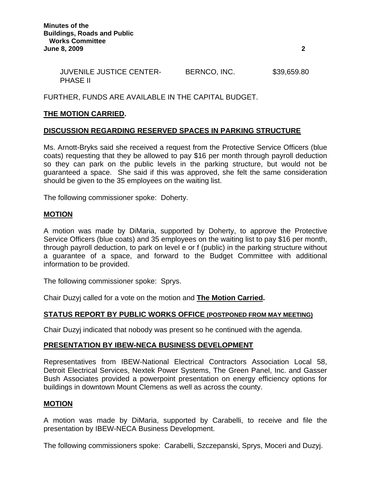| <b>JUVENILE JUSTICE CENTER-</b> | BERNCO, INC. | \$39,659.80 |
|---------------------------------|--------------|-------------|
| <b>PHASE II</b>                 |              |             |

### FURTHER, FUNDS ARE AVAILABLE IN THE CAPITAL BUDGET.

### **THE MOTION CARRIED.**

#### **DISCUSSION REGARDING RESERVED SPACES IN PARKING STRUCTURE**

Ms. Arnott-Bryks said she received a request from the Protective Service Officers (blue coats) requesting that they be allowed to pay \$16 per month through payroll deduction so they can park on the public levels in the parking structure, but would not be guaranteed a space. She said if this was approved, she felt the same consideration should be given to the 35 employees on the waiting list.

The following commissioner spoke: Doherty.

### **MOTION**

A motion was made by DiMaria, supported by Doherty, to approve the Protective Service Officers (blue coats) and 35 employees on the waiting list to pay \$16 per month, through payroll deduction, to park on level e or f (public) in the parking structure without a guarantee of a space, and forward to the Budget Committee with additional information to be provided.

The following commissioner spoke: Sprys.

Chair Duzyj called for a vote on the motion and **The Motion Carried.** 

### **STATUS REPORT BY PUBLIC WORKS OFFICE (POSTPONED FROM MAY MEETING)**

Chair Duzyj indicated that nobody was present so he continued with the agenda.

### **PRESENTATION BY IBEW-NECA BUSINESS DEVELOPMENT**

Representatives from IBEW-National Electrical Contractors Association Local 58, Detroit Electrical Services, Nextek Power Systems, The Green Panel, Inc. and Gasser Bush Associates provided a powerpoint presentation on energy efficiency options for buildings in downtown Mount Clemens as well as across the county.

#### **MOTION**

A motion was made by DiMaria, supported by Carabelli, to receive and file the presentation by IBEW-NECA Business Development.

The following commissioners spoke: Carabelli, Szczepanski, Sprys, Moceri and Duzyj.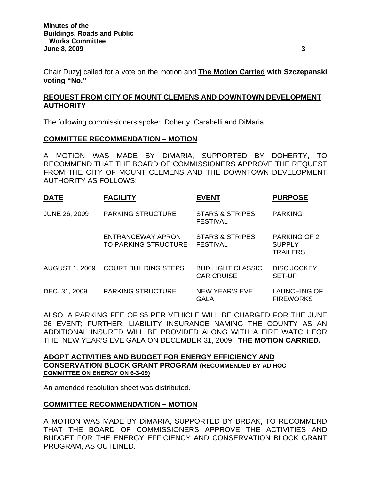Chair Duzyj called for a vote on the motion and **The Motion Carried with Szczepanski voting "No."** 

# **REQUEST FROM CITY OF MOUNT CLEMENS AND DOWNTOWN DEVELOPMENT AUTHORITY**

The following commissioners spoke: Doherty, Carabelli and DiMaria.

## **COMMITTEE RECOMMENDATION – MOTION**

A MOTION WAS MADE BY DiMARIA, SUPPORTED BY DOHERTY, TO RECOMMEND THAT THE BOARD OF COMMISSIONERS APPROVE THE REQUEST FROM THE CITY OF MOUNT CLEMENS AND THE DOWNTOWN DEVELOPMENT AUTHORITY AS FOLLOWS:

| <b>DATE</b>           | <b>FACILITY</b>                           | <b>EVENT</b>                                  | <b>PURPOSE</b>                                          |
|-----------------------|-------------------------------------------|-----------------------------------------------|---------------------------------------------------------|
| <b>JUNE 26, 2009</b>  | <b>PARKING STRUCTURE</b>                  | <b>STARS &amp; STRIPES</b><br><b>FESTIVAL</b> | <b>PARKING</b>                                          |
|                       | ENTRANCEWAY APRON<br>TO PARKING STRUCTURE | <b>STARS &amp; STRIPES</b><br><b>FESTIVAL</b> | <b>PARKING OF 2</b><br><b>SUPPLY</b><br><b>TRAILERS</b> |
| <b>AUGUST 1, 2009</b> | <b>COURT BUILDING STEPS</b>               | <b>BUD LIGHT CLASSIC</b><br><b>CAR CRUISE</b> | <b>DISC JOCKEY</b><br><b>SET-UP</b>                     |
| DEC. 31, 2009         | <b>PARKING STRUCTURE</b>                  | <b>NEW YEAR'S EVE</b><br><b>GALA</b>          | <b>LAUNCHING OF</b><br><b>FIREWORKS</b>                 |

ALSO, A PARKING FEE OF \$5 PER VEHICLE WILL BE CHARGED FOR THE JUNE 26 EVENT; FURTHER, LIABILITY INSURANCE NAMING THE COUNTY AS AN ADDITIONAL INSURED WILL BE PROVIDED ALONG WITH A FIRE WATCH FOR THE NEW YEAR'S EVE GALA ON DECEMBER 31, 2009. **THE MOTION CARRIED.** 

### **ADOPT ACTIVITIES AND BUDGET FOR ENERGY EFFICIENCY AND CONSERVATION BLOCK GRANT PROGRAM (RECOMMENDED BY AD HOC COMMITTEE ON ENERGY ON 6-3-09)**

An amended resolution sheet was distributed.

## **COMMITTEE RECOMMENDATION – MOTION**

A MOTION WAS MADE BY DiMARIA, SUPPORTED BY BRDAK, TO RECOMMEND THAT THE BOARD OF COMMISSIONERS APPROVE THE ACTIVITIES AND BUDGET FOR THE ENERGY EFFICIENCY AND CONSERVATION BLOCK GRANT PROGRAM, AS OUTLINED.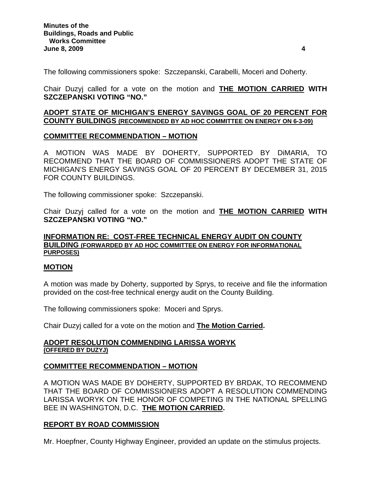The following commissioners spoke: Szczepanski, Carabelli, Moceri and Doherty.

Chair Duzyj called for a vote on the motion and **THE MOTION CARRIED WITH SZCZEPANSKI VOTING "NO."** 

### **ADOPT STATE OF MICHIGAN'S ENERGY SAVINGS GOAL OF 20 PERCENT FOR COUNTY BUILDINGS (RECOMMENDED BY AD HOC COMMITTEE ON ENERGY ON 6-3-09)**

## **COMMITTEE RECOMMENDATION – MOTION**

A MOTION WAS MADE BY DOHERTY, SUPPORTED BY DiMARIA, TO RECOMMEND THAT THE BOARD OF COMMISSIONERS ADOPT THE STATE OF MICHIGAN'S ENERGY SAVINGS GOAL OF 20 PERCENT BY DECEMBER 31, 2015 FOR COUNTY BUILDINGS.

The following commissioner spoke: Szczepanski.

Chair Duzyj called for a vote on the motion and **THE MOTION CARRIED WITH SZCZEPANSKI VOTING "NO."** 

### **INFORMATION RE: COST-FREE TECHNICAL ENERGY AUDIT ON COUNTY BUILDING (FORWARDED BY AD HOC COMMITTEE ON ENERGY FOR INFORMATIONAL PURPOSES)**

### **MOTION**

A motion was made by Doherty, supported by Sprys, to receive and file the information provided on the cost-free technical energy audit on the County Building.

The following commissioners spoke: Moceri and Sprys.

Chair Duzyj called for a vote on the motion and **The Motion Carried.** 

#### **ADOPT RESOLUTION COMMENDING LARISSA WORYK (OFFERED BY DUZYJ)**

## **COMMITTEE RECOMMENDATION – MOTION**

A MOTION WAS MADE BY DOHERTY, SUPPORTED BY BRDAK, TO RECOMMEND THAT THE BOARD OF COMMISSIONERS ADOPT A RESOLUTION COMMENDING LARISSA WORYK ON THE HONOR OF COMPETING IN THE NATIONAL SPELLING BEE IN WASHINGTON, D.C. **THE MOTION CARRIED.** 

## **REPORT BY ROAD COMMISSION**

Mr. Hoepfner, County Highway Engineer, provided an update on the stimulus projects.